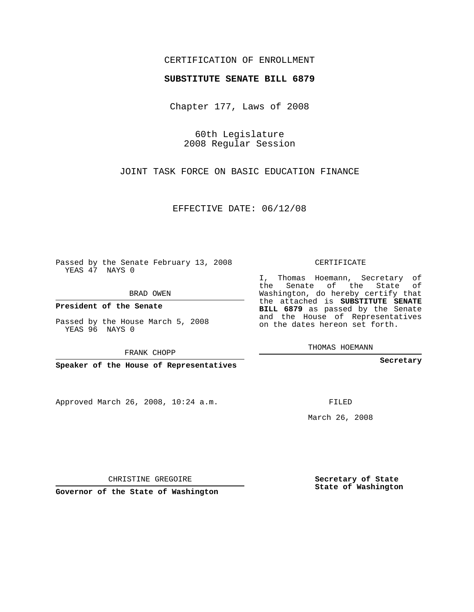## CERTIFICATION OF ENROLLMENT

### **SUBSTITUTE SENATE BILL 6879**

Chapter 177, Laws of 2008

60th Legislature 2008 Regular Session

JOINT TASK FORCE ON BASIC EDUCATION FINANCE

EFFECTIVE DATE: 06/12/08

Passed by the Senate February 13, 2008 YEAS 47 NAYS 0

BRAD OWEN

**President of the Senate**

Passed by the House March 5, 2008 YEAS 96 NAYS 0

FRANK CHOPP

**Speaker of the House of Representatives**

Approved March 26, 2008, 10:24 a.m.

CERTIFICATE

I, Thomas Hoemann, Secretary of the Senate of the State of Washington, do hereby certify that the attached is **SUBSTITUTE SENATE BILL 6879** as passed by the Senate and the House of Representatives on the dates hereon set forth.

THOMAS HOEMANN

**Secretary**

FILED

March 26, 2008

**Secretary of State State of Washington**

CHRISTINE GREGOIRE

**Governor of the State of Washington**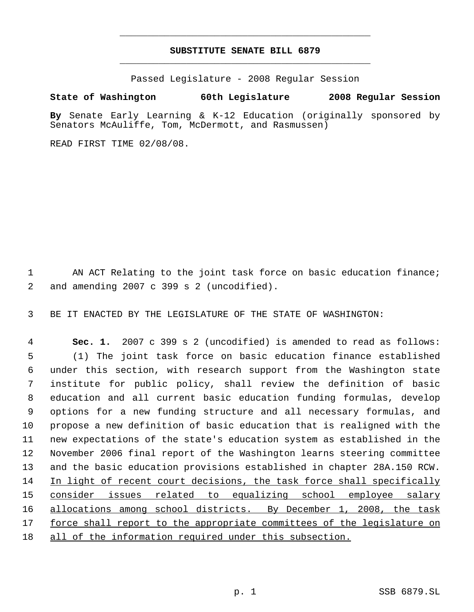# **SUBSTITUTE SENATE BILL 6879** \_\_\_\_\_\_\_\_\_\_\_\_\_\_\_\_\_\_\_\_\_\_\_\_\_\_\_\_\_\_\_\_\_\_\_\_\_\_\_\_\_\_\_\_\_

\_\_\_\_\_\_\_\_\_\_\_\_\_\_\_\_\_\_\_\_\_\_\_\_\_\_\_\_\_\_\_\_\_\_\_\_\_\_\_\_\_\_\_\_\_

Passed Legislature - 2008 Regular Session

## **State of Washington 60th Legislature 2008 Regular Session**

**By** Senate Early Learning & K-12 Education (originally sponsored by Senators McAuliffe, Tom, McDermott, and Rasmussen)

READ FIRST TIME 02/08/08.

1 AN ACT Relating to the joint task force on basic education finance; and amending 2007 c 399 s 2 (uncodified).

BE IT ENACTED BY THE LEGISLATURE OF THE STATE OF WASHINGTON:

 **Sec. 1.** 2007 c 399 s 2 (uncodified) is amended to read as follows: (1) The joint task force on basic education finance established under this section, with research support from the Washington state institute for public policy, shall review the definition of basic education and all current basic education funding formulas, develop options for a new funding structure and all necessary formulas, and propose a new definition of basic education that is realigned with the new expectations of the state's education system as established in the November 2006 final report of the Washington learns steering committee and the basic education provisions established in chapter 28A.150 RCW. In light of recent court decisions, the task force shall specifically consider issues related to equalizing school employee salary allocations among school districts. By December 1, 2008, the task force shall report to the appropriate committees of the legislature on all of the information required under this subsection.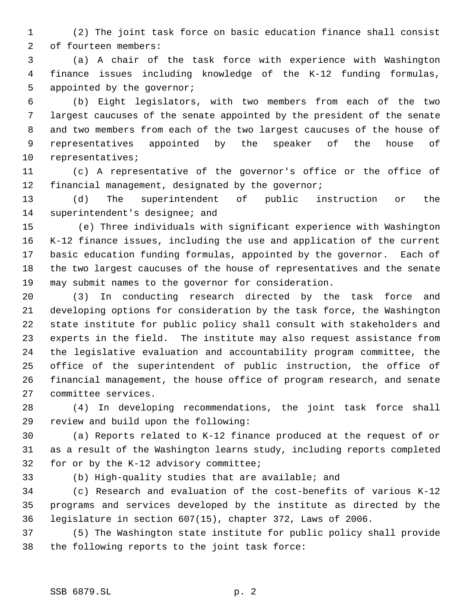(2) The joint task force on basic education finance shall consist of fourteen members:

 (a) A chair of the task force with experience with Washington finance issues including knowledge of the K-12 funding formulas, 5 appointed by the governor;

 (b) Eight legislators, with two members from each of the two largest caucuses of the senate appointed by the president of the senate and two members from each of the two largest caucuses of the house of representatives appointed by the speaker of the house of representatives;

 (c) A representative of the governor's office or the office of financial management, designated by the governor;

 (d) The superintendent of public instruction or the superintendent's designee; and

15 (e) Three individuals with significant experience with Washington K-12 finance issues, including the use and application of the current basic education funding formulas, appointed by the governor. Each of the two largest caucuses of the house of representatives and the senate may submit names to the governor for consideration.

 (3) In conducting research directed by the task force and developing options for consideration by the task force, the Washington state institute for public policy shall consult with stakeholders and experts in the field. The institute may also request assistance from the legislative evaluation and accountability program committee, the office of the superintendent of public instruction, the office of financial management, the house office of program research, and senate committee services.

 (4) In developing recommendations, the joint task force shall review and build upon the following:

 (a) Reports related to K-12 finance produced at the request of or as a result of the Washington learns study, including reports completed for or by the K-12 advisory committee;

(b) High-quality studies that are available; and

 (c) Research and evaluation of the cost-benefits of various K-12 programs and services developed by the institute as directed by the legislature in section 607(15), chapter 372, Laws of 2006.

 (5) The Washington state institute for public policy shall provide the following reports to the joint task force: